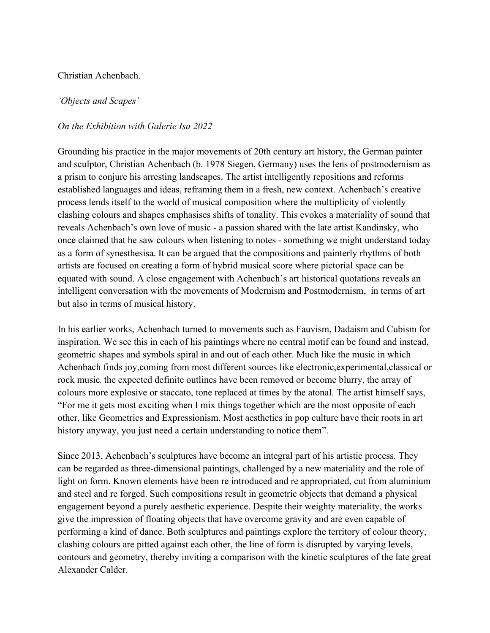## Christian Achenbach.

## *'Objects and Scapes'*

## *On the Exhibition with Galerie Isa 2022*

Grounding his practice in the major movements of 20th century art history, the German painter and sculptor, Christian Achenbach (b. 1978 Siegen, Germany) uses the lens of postmodernism as a prism to conjure his arresting landscapes. The artist intelligently repositions and reforms established languages and ideas, reframing them in a fresh, new context. Achenbach's creative process lends itself to the world of musical composition where the multiplicity of violently clashing colours and shapes emphasises shifts of tonality. This evokes a materiality of sound that reveals Achenbach's own love of music - a passion shared with the late artist Kandinsky, who once claimed that he saw colours when listening to notes - something we might understand today as a form of synesthesisa. It can be argued that the compositions and painterly rhythms of both artists are focused on creating a form of hybrid musical score where pictorial space can be equated with sound. A close engagement with Achenbach's art historical quotations reveals an intelligent conversation with the movements of Modernism and Postmodernism, in terms of art but also in terms of musical history.

In his earlier works, Achenbach turned to movements such as Fauvism, Dadaism and Cubism for inspiration. We see this in each of his paintings where no central motif can be found and instead, geometric shapes and symbols spiral in and out of each other. Much like the music in which Achenbach finds joy,coming from most different sources like electronic,experimental,classical or rock music, the expected definite outlines have been removed or become blurry, the array of colours more explosive or staccato, tone replaced at times by the atonal. The artist himself says, "For me it gets most exciting when I mix things together which are the most opposite of each other, like Geometrics and Expressionism. Most aesthetics in pop culture have their roots in art history anyway, you just need a certain understanding to notice them".

Since 2013, Achenbach's sculptures have become an integral part of his artistic process. They can be regarded as three-dimensional paintings, challenged by a new materiality and the role of light on form. Known elements have been re introduced and re appropriated, cut from aluminium and steel and re forged. Such compositions result in geometric objects that demand a physical engagement beyond a purely aesthetic experience. Despite their weighty materiality, the works give the impression of floating objects that have overcome gravity and are even capable of performing a kind of dance. Both sculptures and paintings explore the territory of colour theory, clashing colours are pitted against each other, the line of form is disrupted by varying levels, contours and geometry, thereby inviting a comparison with the kinetic sculptures of the late great Alexander Calder.